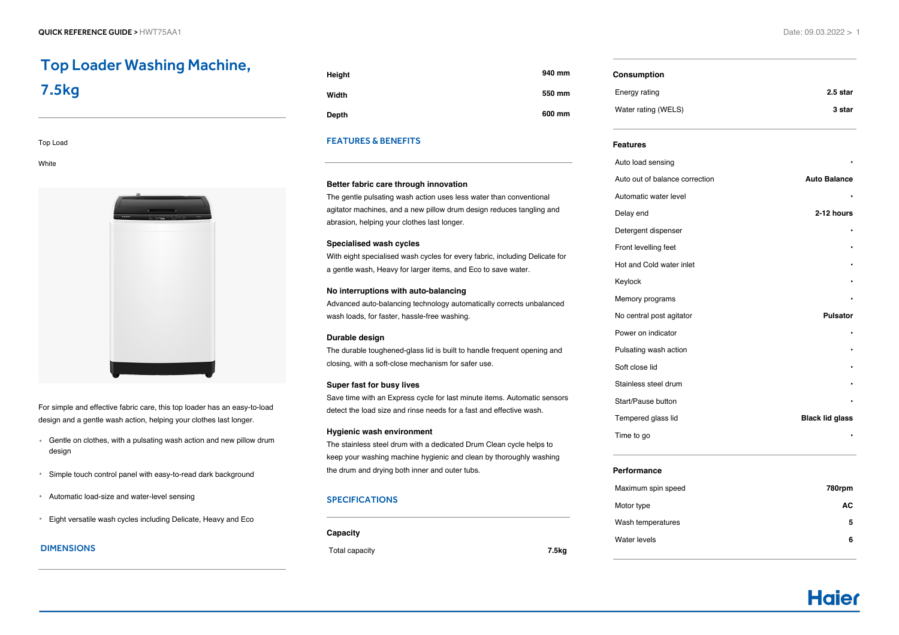# Top Loader Washing Machine, 7.5kg

#### Top Load

**White** 



For simple and effective fabric care, this top loader has an easy-to-load design and a gentle wash action, helping your clothes last longer.

- Gentle on clothes, with a pulsating wash action and new pillow drum design
- Simple touch control panel with easy-to-read dark background
- Automatic load-size and water-level sensing
- Eight versatile wash cycles including Delicate, Heavy and Eco

# DIMENSIONS

| Height | 940 mm |
|--------|--------|
| Width  | 550 mm |
| Depth  | 600 mm |

# FEATURES & BENEFITS

## **Better fabric care through innovation**

The gentle pulsating wash action uses less water than conventional agitator machines, and a new pillow drum design reduces tangling and abrasion, helping your clothes last longer.

#### **Specialised wash cycles**

With eight specialised wash cycles for every fabric, including Delicate for a gentle wash, Heavy for larger items, and Eco to save water.

#### **No interruptions with auto-balancing**

Advanced auto-balancing technology automatically corrects unbalanced wash loads, for faster, hassle-free washing.

#### **Durable design**

The durable toughened-glass lid is built to handle frequent opening and closing, with a soft-close mechanism for safer use.

#### **Super fast for busy lives**

Save time with an Express cycle for last minute items. Automatic sensors detect the load size and rinse needs for a fast and effective wash.

#### **Hygienic wash environment**

The stainless steel drum with a dedicated Drum Clean cycle helps to keep your washing machine hygienic and clean by thoroughly washing the drum and drying both inner and outer tubs.

# SPECIFICATIONS

**Capacity**

Total capacity **7.5kg**

**Consumption** Energy rating **2.5 star** Water rating (WELS) **3 star**

#### **Features**

| Auto load sensing              |                        |
|--------------------------------|------------------------|
| Auto out of balance correction | <b>Auto Balance</b>    |
| Automatic water level          |                        |
| Delay end                      | 2-12 hours             |
| Detergent dispenser            |                        |
| Front levelling feet           |                        |
| Hot and Cold water inlet       |                        |
| Keylock                        |                        |
| Memory programs                |                        |
| No central post agitator       | <b>Pulsator</b>        |
| Power on indicator             |                        |
| Pulsating wash action          |                        |
| Soft close lid                 |                        |
| Stainless steel drum           |                        |
| Start/Pause button             |                        |
| Tempered glass lid             | <b>Black lid glass</b> |
| Time to go                     |                        |
|                                |                        |

# **Performance**

| Maximum spin speed | 780rpm |
|--------------------|--------|
| Motor type         | АC     |
| Wash temperatures  | 5      |
| Water levels       | 6      |
|                    |        |